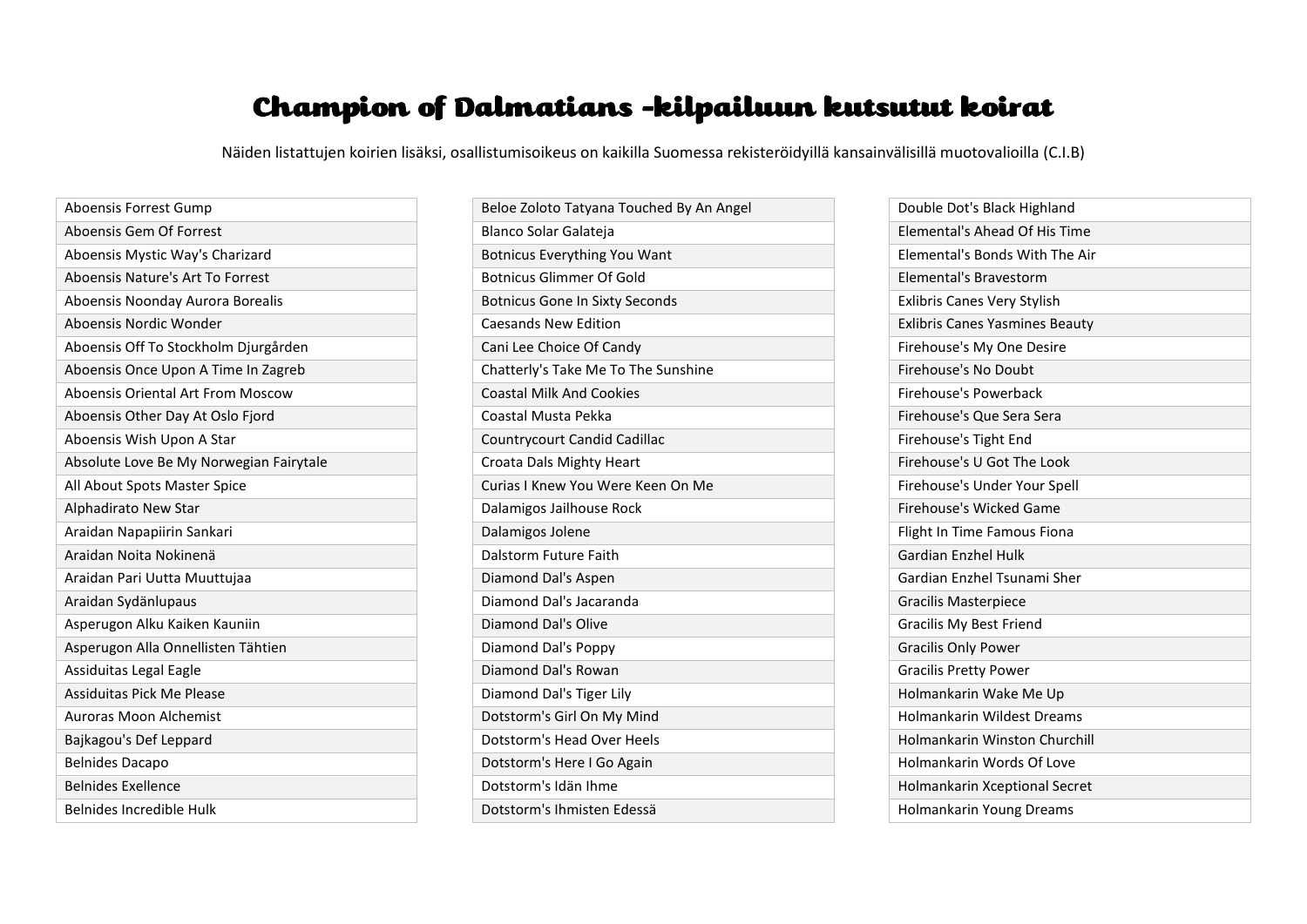## Champion of Dalmatians -kilpailuun kutsutut koirat

Näiden listattujen koirien lisäksi, osallistumisoikeus on kaikilla Suomessa rekisteröidyillä kansainvälisillä muotovalioilla (C.I.B)

| Aboensis Forrest Gump                   |
|-----------------------------------------|
| Aboensis Gem Of Forrest                 |
| Aboensis Mystic Way's Charizard         |
| Aboensis Nature's Art To Forrest        |
| Aboensis Noonday Aurora Borealis        |
| Aboensis Nordic Wonder                  |
| Aboensis Off To Stockholm Djurgården    |
| Aboensis Once Upon A Time In Zagreb     |
| Aboensis Oriental Art From Moscow       |
| Aboensis Other Day At Oslo Fjord        |
| Aboensis Wish Upon A Star               |
| Absolute Love Be My Norwegian Fairytale |
| All About Spots Master Spice            |
| Alphadirato New Star                    |
| Araidan Napapiirin Sankari              |
| Araidan Noita Nokinenä                  |
| Araidan Pari Uutta Muuttujaa            |
| Araidan Sydänlupaus                     |
| Asperugon Alku Kaiken Kauniin           |
| Asperugon Alla Onnellisten Tähtien      |
| Assiduitas Legal Eagle                  |
| Assiduitas Pick Me Please               |
| Auroras Moon Alchemist                  |
| Bajkagou's Def Leppard                  |
| <b>Belnides Dacapo</b>                  |
| <b>Belnides Exellence</b>               |
| Belnides Incredible Hulk                |

| Beloe Zoloto Tatyana Touched By An Angel |
|------------------------------------------|
| Blanco Solar Galateja                    |
| <b>Botnicus Everything You Want</b>      |
| Botnicus Glimmer Of Gold                 |
| <b>Botnicus Gone In Sixty Seconds</b>    |
| <b>Caesands New Edition</b>              |
| Cani Lee Choice Of Candy                 |
| Chatterly's Take Me To The Sunshine      |
| <b>Coastal Milk And Cookies</b>          |
| Coastal Musta Pekka                      |
| Countrycourt Candid Cadillac             |
| Croata Dals Mighty Heart                 |
| Curias I Knew You Were Keen On Me        |
| Dalamigos Jailhouse Rock                 |
| Dalamigos Jolene                         |
| Dalstorm Future Faith                    |
| Diamond Dal's Aspen                      |
| Diamond Dal's Jacaranda                  |
| Diamond Dal's Olive                      |
| Diamond Dal's Poppy                      |
| Diamond Dal's Rowan                      |
| Diamond Dal's Tiger Lily                 |
| Dotstorm's Girl On My Mind               |
| Dotstorm's Head Over Heels               |
| Dotstorm's Here I Go Again               |
| Dotstorm's Idän Ihme                     |
| Dotstorm's Ihmisten Edessä               |

| Double Dot's Black Highland           |
|---------------------------------------|
| Elemental's Ahead Of His Time         |
| Elemental's Bonds With The Air        |
| Elemental's Bravestorm                |
| <b>Exlibris Canes Very Stylish</b>    |
| <b>Exlibris Canes Yasmines Beauty</b> |
| Firehouse's My One Desire             |
| Firehouse's No Doubt                  |
| Firehouse's Powerback                 |
| Firehouse's Que Sera Sera             |
| Firehouse's Tight End                 |
| Firehouse's U Got The Look            |
| Firehouse's Under Your Spell          |
| Firehouse's Wicked Game               |
| Flight In Time Famous Fiona           |
| <b>Gardian Enzhel Hulk</b>            |
| Gardian Enzhel Tsunami Sher           |
| <b>Gracilis Masterpiece</b>           |
| <b>Gracilis My Best Friend</b>        |
| <b>Gracilis Only Power</b>            |
| <b>Gracilis Pretty Power</b>          |
| Holmankarin Wake Me Up                |
| <b>Holmankarin Wildest Dreams</b>     |
| Holmankarin Winston Churchill         |
| Holmankarin Words Of Love             |
| Holmankarin Xceptional Secret         |
| Holmankarin Young Dreams              |